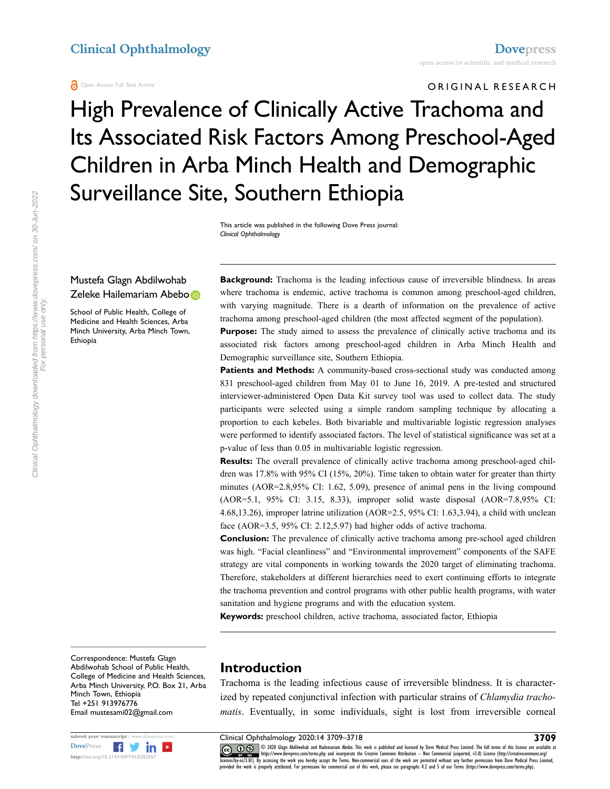#### Open Access Full Text Article

#### ORIGINAL RESEARCH

# High Prevalence of Clinically Active Trachoma and Its Associated Risk Factors Among Preschool-Aged Children in Arba Minch Health and Demographic Surveillance Site, Southern Ethiopia

This article was published in the following Dove Press journal: *Clinical Ophthalmology*

#### Mustefa Glagn Abdilwohab Zeleke Hailemariam Abeb[o](http://orcid.org/0000-0002-1304-7401)

School of Public Health, College of Medicine and Health Sciences, Arba Minch University, Arba Minch Town, Ethiopia

**Background:** Trachoma is the leading infectious cause of irreversible blindness. In areas where trachoma is endemic, active trachoma is common among preschool-aged children, with varying magnitude. There is a dearth of information on the prevalence of active trachoma among preschool-aged children (the most affected segment of the population).

**Purpose:** The study aimed to assess the prevalence of clinically active trachoma and its associated risk factors among preschool-aged children in Arba Minch Health and Demographic surveillance site, Southern Ethiopia.

**Patients and Methods:** A community-based cross-sectional study was conducted among 831 preschool-aged children from May 01 to June 16, 2019. A pre-tested and structured interviewer-administered Open Data Kit survey tool was used to collect data. The study participants were selected using a simple random sampling technique by allocating a proportion to each kebeles. Both bivariable and multivariable logistic regression analyses were performed to identify associated factors. The level of statistical significance was set at a p-value of less than 0.05 in multivariable logistic regression.

**Results:** The overall prevalence of clinically active trachoma among preschool-aged children was 17.8% with 95% CI (15%, 20%). Time taken to obtain water for greater than thirty minutes (AOR=2.8,95% CI: 1.62, 5.09), presence of animal pens in the living compound (AOR=5.1, 95% CI: 3.15, 8.33), improper solid waste disposal (AOR=7.8,95% CI: 4.68,13.26), improper latrine utilization (AOR=2.5, 95% CI: 1.63,3.94), a child with unclean face (AOR=3.5, 95% CI: 2.12,5.97) had higher odds of active trachoma.

**Conclusion:** The prevalence of clinically active trachoma among pre-school aged children was high. "Facial cleanliness" and "Environmental improvement" components of the SAFE strategy are vital components in working towards the 2020 target of eliminating trachoma. Therefore, stakeholders at different hierarchies need to exert continuing efforts to integrate the trachoma prevention and control programs with other public health programs, with water sanitation and hygiene programs and with the education system.

**Keywords:** preschool children, active trachoma, associated factor, Ethiopia

Correspondence: Mustefa Glagn Abdilwohab School of Public Health, College of Medicine and Health Sciences, Arba Minch University, P.O. Box 21, Arba Minch Town, Ethiopia Tel +251 913976776 Email [mustesami02@gmail.com](mailto:mustesami02@gmail.com)



#### **Introduction**

<span id="page-0-0"></span>Trachoma is the leading infectious cause of irreversible blindness. It is characterized by repeated conjunctival infection with particular strains of *Chlamydia trachomatis*. Eventually, in some individuals, sight is lost from irreversible corneal

**Submit your manuscript | www.dovepress.com** Clinical Ophthalmology 2020:14 3709–3718 **3709**<br>DovePress **f in in the full terms** of this licens are available at  $\overline{(\mathbf{c} \mathbf{c}) \otimes \mathbf{c})}$  @ 2020 Glagn Abdilwohab and H DOVER THE MAN ARE THE SERVICE OF STATE OF STATE OF STATE OF STATE OF STATE OF STATE OF STATE OF STATE OF STATE OF STATE OF STATE OF STATE OF STATE OF STATE OF STATE OF STATE OF STATE OF STATE OF STATE OF STATE OF STATE OF provided the work is properly attributed. For permission for commercial use of this work, please see paragraphs 4.2 and 5 of our Terms (https://www.dovepress.com/terms.php).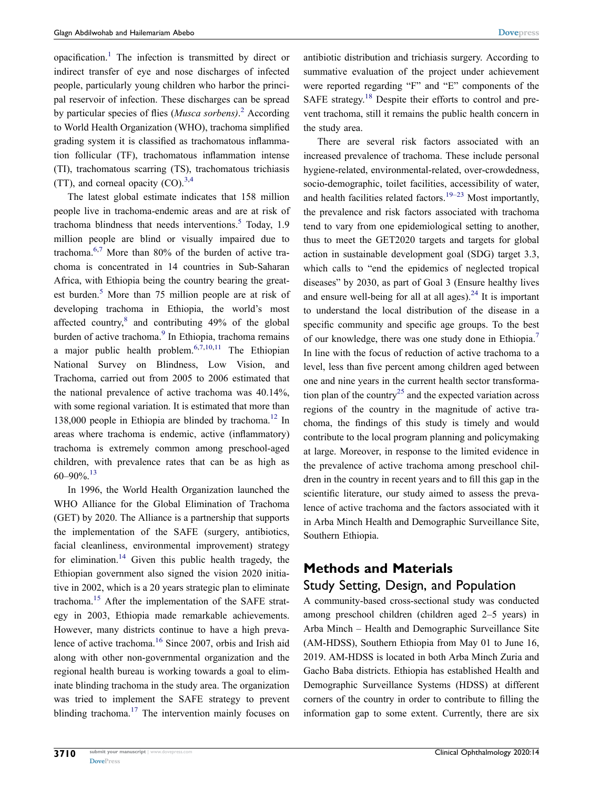<span id="page-1-0"></span>opacification[.1](#page-8-0) The infection is transmitted by direct or indirect transfer of eye and nose discharges of infected people, particularly young children who harbor the principal reservoir of infection. These discharges can be spread by particular species of flies (*Musca sorbens)*. [2](#page-8-1) According to World Health Organization (WHO), trachoma simplified grading system it is classified as trachomatous inflammation follicular (TF), trachomatous inflammation intense (TI), trachomatous scarring (TS), trachomatous trichiasis (TT), and corneal opacity  $(CO)^{3,4}$  $(CO)^{3,4}$  $(CO)^{3,4}$  $(CO)^{3,4}$ 

<span id="page-1-6"></span><span id="page-1-5"></span><span id="page-1-2"></span><span id="page-1-1"></span>The latest global estimate indicates that 158 million people live in trachoma-endemic areas and are at risk of trachoma blindness that needs interventions. $5$  Today, 1.9 million people are blind or visually impaired due to trachoma. $6,7$  $6,7$  More than 80% of the burden of active trachoma is concentrated in 14 countries in Sub-Saharan Africa, with Ethiopia being the country bearing the great-est burden.<sup>5</sup> More than 7[5](#page-8-4) million people are at risk of developing trachoma in Ethiopia, the world's most affected country,<sup>[8](#page-8-7)</sup> and contributing 49% of the global burden of active trachoma.<sup>9</sup> In Ethiopia, trachoma remains a major public health problem.<sup>[6](#page-8-5)[,7,](#page-8-6)[10](#page-8-9)[,11](#page-8-10)</sup> The Ethiopian National Survey on Blindness, Low Vision, and Trachoma, carried out from 2005 to 2006 estimated that the national prevalence of active trachoma was 40.14%, with some regional variation. It is estimated that more than 138,000 people in Ethiopia are blinded by trachoma.<sup>12</sup> In areas where trachoma is endemic, active (inflammatory) trachoma is extremely common among preschool-aged children, with prevalence rates that can be as high as  $60-90\%$ <sup>[13](#page-8-12)</sup>

<span id="page-1-10"></span><span id="page-1-9"></span><span id="page-1-8"></span><span id="page-1-7"></span><span id="page-1-3"></span>In 1996, the World Health Organization launched the WHO Alliance for the Global Elimination of Trachoma (GET) by 2020. The Alliance is a partnership that supports the implementation of the SAFE (surgery, antibiotics, facial cleanliness, environmental improvement) strategy for elimination.<sup>14</sup> Given this public health tragedy, the Ethiopian government also signed the vision 2020 initiative in 2002, which is a 20 years strategic plan to eliminate trachoma.[15](#page-8-14) After the implementation of the SAFE strategy in 2003, Ethiopia made remarkable achievements. However, many districts continue to have a high prevalence of active trachoma.[16](#page-8-15) Since 2007, orbis and Irish aid along with other non-governmental organization and the regional health bureau is working towards a goal to eliminate blinding trachoma in the study area. The organization was tried to implement the SAFE strategy to prevent blinding trachoma.<sup>17</sup> The intervention mainly focuses on antibiotic distribution and trichiasis surgery. According to summative evaluation of the project under achievement were reported regarding "F" and "E" components of the SAFE strategy.<sup>18</sup> Despite their efforts to control and prevent trachoma, still it remains the public health concern in the study area.

<span id="page-1-12"></span><span id="page-1-11"></span><span id="page-1-4"></span>There are several risk factors associated with an increased prevalence of trachoma. These include personal hygiene-related, environmental-related, over-crowdedness, socio-demographic, toilet facilities, accessibility of water, and health facilities related factors.<sup>19–23</sup> Most importantly, the prevalence and risk factors associated with trachoma tend to vary from one epidemiological setting to another, thus to meet the GET2020 targets and targets for global action in sustainable development goal (SDG) target 3.3, which calls to "end the epidemics of neglected tropical diseases" by 2030, as part of Goal 3 (Ensure healthy lives and ensure well-being for all at all ages). $24$  It is important to understand the local distribution of the disease in a specific community and specific age groups. To the best of our knowledge, there was one study done in Ethiopia.[7](#page-8-6) In line with the focus of reduction of active trachoma to a level, less than five percent among children aged between one and nine years in the current health sector transforma-tion plan of the country<sup>[25](#page-9-4)</sup> and the expected variation across regions of the country in the magnitude of active trachoma, the findings of this study is timely and would contribute to the local program planning and policymaking at large. Moreover, in response to the limited evidence in the prevalence of active trachoma among preschool children in the country in recent years and to fill this gap in the scientific literature, our study aimed to assess the prevalence of active trachoma and the factors associated with it in Arba Minch Health and Demographic Surveillance Site, Southern Ethiopia.

#### <span id="page-1-13"></span>**Methods and Materials**

#### Study Setting, Design, and Population

A community-based cross-sectional study was conducted among preschool children (children aged 2–5 years) in Arba Minch – Health and Demographic Surveillance Site (AM-HDSS), Southern Ethiopia from May 01 to June 16, 2019. AM-HDSS is located in both Arba Minch Zuria and Gacho Baba districts. Ethiopia has established Health and Demographic Surveillance Systems (HDSS) at different corners of the country in order to contribute to filling the information gap to some extent. Currently, there are six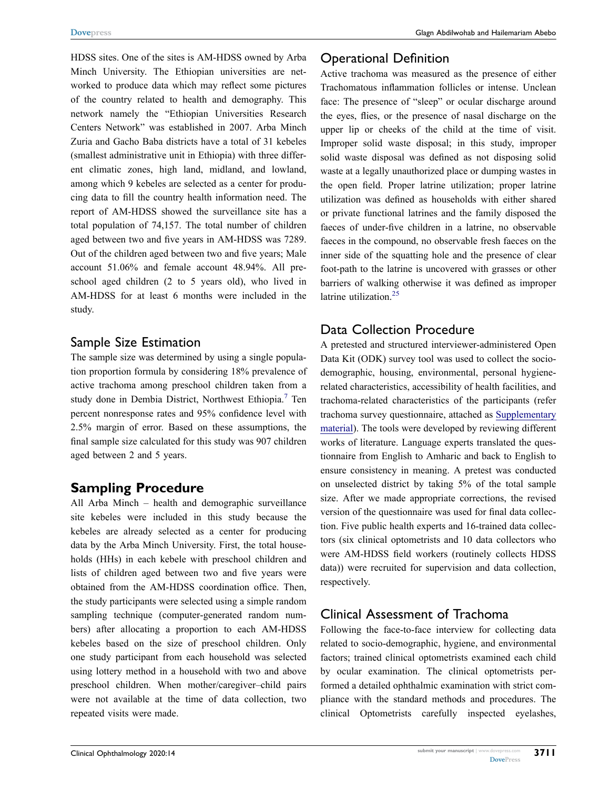HDSS sites. One of the sites is AM-HDSS owned by Arba Minch University. The Ethiopian universities are networked to produce data which may reflect some pictures of the country related to health and demography. This network namely the "Ethiopian Universities Research Centers Network" was established in 2007. Arba Minch Zuria and Gacho Baba districts have a total of 31 kebeles (smallest administrative unit in Ethiopia) with three different climatic zones, high land, midland, and lowland, among which 9 kebeles are selected as a center for producing data to fill the country health information need. The report of AM-HDSS showed the surveillance site has a total population of 74,157. The total number of children aged between two and five years in AM-HDSS was 7289. Out of the children aged between two and five years; Male account 51.06% and female account 48.94%. All preschool aged children (2 to 5 years old), who lived in AM-HDSS for at least 6 months were included in the study.

#### Sample Size Estimation

The sample size was determined by using a single population proportion formula by considering 18% prevalence of active trachoma among preschool children taken from a study done in Dembia District, Northwest Ethiopia.<sup>7</sup> Ten percent nonresponse rates and 95% confidence level with 2.5% margin of error. Based on these assumptions, the final sample size calculated for this study was 907 children aged between 2 and 5 years.

#### **Sampling Procedure**

All Arba Minch – health and demographic surveillance site kebeles were included in this study because the kebeles are already selected as a center for producing data by the Arba Minch University. First, the total households (HHs) in each kebele with preschool children and lists of children aged between two and five years were obtained from the AM-HDSS coordination office. Then, the study participants were selected using a simple random sampling technique (computer-generated random numbers) after allocating a proportion to each AM-HDSS kebeles based on the size of preschool children. Only one study participant from each household was selected using lottery method in a household with two and above preschool children. When mother/caregiver–child pairs were not available at the time of data collection, two repeated visits were made.

#### Operational Definition

Active trachoma was measured as the presence of either Trachomatous inflammation follicles or intense. Unclean face: The presence of "sleep" or ocular discharge around the eyes, flies, or the presence of nasal discharge on the upper lip or cheeks of the child at the time of visit. Improper solid waste disposal; in this study, improper solid waste disposal was defined as not disposing solid waste at a legally unauthorized place or dumping wastes in the open field. Proper latrine utilization; proper latrine utilization was defined as households with either shared or private functional latrines and the family disposed the faeces of under-five children in a latrine, no observable faeces in the compound, no observable fresh faeces on the inner side of the squatting hole and the presence of clear foot-path to the latrine is uncovered with grasses or other barriers of walking otherwise it was defined as improper latrine utilization.<sup>[25](#page-9-4)</sup>

#### Data Collection Procedure

A pretested and structured interviewer-administered Open Data Kit (ODK) survey tool was used to collect the sociodemographic, housing, environmental, personal hygienerelated characteristics, accessibility of health facilities, and trachoma-related characteristics of the participants (refer trachoma survey questionnaire, attached as [Supplementary](https://www.dovepress.com/get_supplementary_file.php?f=282567.docx) [material\)](https://www.dovepress.com/get_supplementary_file.php?f=282567.docx). The tools were developed by reviewing different works of literature. Language experts translated the questionnaire from English to Amharic and back to English to ensure consistency in meaning. A pretest was conducted on unselected district by taking 5% of the total sample size. After we made appropriate corrections, the revised version of the questionnaire was used for final data collection. Five public health experts and 16-trained data collectors (six clinical optometrists and 10 data collectors who were AM-HDSS field workers (routinely collects HDSS data)) were recruited for supervision and data collection, respectively.

#### Clinical Assessment of Trachoma

Following the face-to-face interview for collecting data related to socio-demographic, hygiene, and environmental factors; trained clinical optometrists examined each child by ocular examination. The clinical optometrists performed a detailed ophthalmic examination with strict compliance with the standard methods and procedures. The clinical Optometrists carefully inspected eyelashes,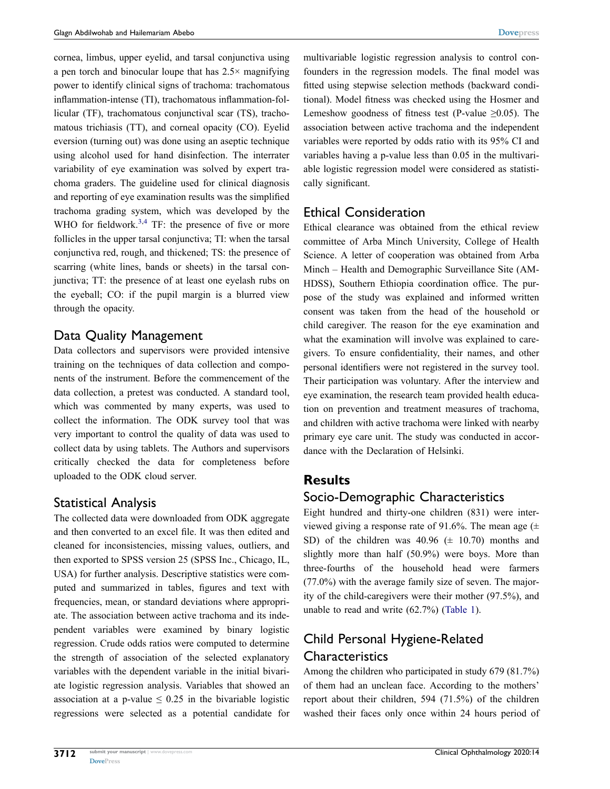cornea, limbus, upper eyelid, and tarsal conjunctiva using a pen torch and binocular loupe that has 2.5× magnifying power to identify clinical signs of trachoma: trachomatous inflammation-intense (TI), trachomatous inflammation-follicular (TF), trachomatous conjunctival scar (TS), trachomatous trichiasis (TT), and corneal opacity (CO). Eyelid eversion (turning out) was done using an aseptic technique using alcohol used for hand disinfection. The interrater variability of eye examination was solved by expert trachoma graders. The guideline used for clinical diagnosis and reporting of eye examination results was the simplified trachoma grading system, which was developed by the WHO for fieldwork.<sup>[3](#page-8-2),4</sup> TF: the presence of five or more follicles in the upper tarsal conjunctiva; TI: when the tarsal conjunctiva red, rough, and thickened; TS: the presence of scarring (white lines, bands or sheets) in the tarsal conjunctiva; TT: the presence of at least one eyelash rubs on the eyeball; CO: if the pupil margin is a blurred view through the opacity.

#### Data Quality Management

Data collectors and supervisors were provided intensive training on the techniques of data collection and components of the instrument. Before the commencement of the data collection, a pretest was conducted. A standard tool, which was commented by many experts, was used to collect the information. The ODK survey tool that was very important to control the quality of data was used to collect data by using tablets. The Authors and supervisors critically checked the data for completeness before uploaded to the ODK cloud server.

#### Statistical Analysis

The collected data were downloaded from ODK aggregate and then converted to an excel file. It was then edited and cleaned for inconsistencies, missing values, outliers, and then exported to SPSS version 25 (SPSS Inc., Chicago, IL, USA) for further analysis. Descriptive statistics were computed and summarized in tables, figures and text with frequencies, mean, or standard deviations where appropriate. The association between active trachoma and its independent variables were examined by binary logistic regression. Crude odds ratios were computed to determine the strength of association of the selected explanatory variables with the dependent variable in the initial bivariate logistic regression analysis. Variables that showed an association at a p-value  $\leq 0.25$  in the bivariable logistic regressions were selected as a potential candidate for multivariable logistic regression analysis to control confounders in the regression models. The final model was fitted using stepwise selection methods (backward conditional). Model fitness was checked using the Hosmer and Lemeshow goodness of fitness test (P-value  $\geq 0.05$ ). The association between active trachoma and the independent variables were reported by odds ratio with its 95% CI and variables having a p-value less than 0.05 in the multivariable logistic regression model were considered as statistically significant.

#### Ethical Consideration

Ethical clearance was obtained from the ethical review committee of Arba Minch University, College of Health Science. A letter of cooperation was obtained from Arba Minch – Health and Demographic Surveillance Site (AM-HDSS), Southern Ethiopia coordination office. The purpose of the study was explained and informed written consent was taken from the head of the household or child caregiver. The reason for the eye examination and what the examination will involve was explained to caregivers. To ensure confidentiality, their names, and other personal identifiers were not registered in the survey tool. Their participation was voluntary. After the interview and eye examination, the research team provided health education on prevention and treatment measures of trachoma, and children with active trachoma were linked with nearby primary eye care unit. The study was conducted in accordance with the Declaration of Helsinki.

#### **Results**

#### Socio-Demographic Characteristics

Eight hundred and thirty-one children (831) were interviewed giving a response rate of 91.6%. The mean age  $(±$ SD) of the children was  $40.96 \ (\pm 10.70)$  months and slightly more than half (50.9%) were boys. More than three-fourths of the household head were farmers (77.0%) with the average family size of seven. The majority of the child-caregivers were their mother (97.5%), and unable to read and write (62.7%) ([Table 1](#page-4-0)).

#### Child Personal Hygiene-Related **Characteristics**

Among the children who participated in study 679 (81.7%) of them had an unclean face. According to the mothers' report about their children, 594 (71.5%) of the children washed their faces only once within 24 hours period of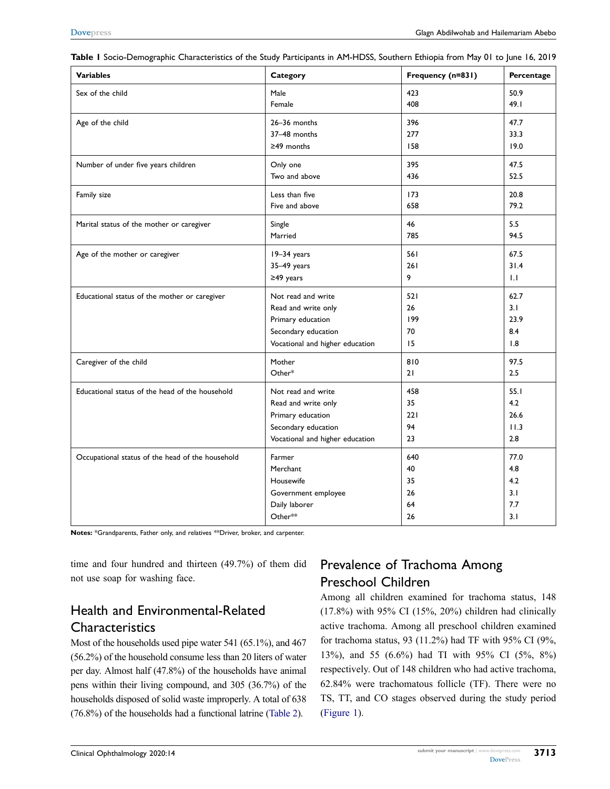| <b>Variables</b>                                 | Category                        | Frequency (n=831) | Percentage |
|--------------------------------------------------|---------------------------------|-------------------|------------|
| Sex of the child                                 | Male                            | 423               | 50.9       |
|                                                  | Female                          | 408               | 49.1       |
| Age of the child                                 | 26-36 months                    | 396               | 47.7       |
|                                                  | 37-48 months                    | 277               | 33.3       |
|                                                  | $\geq$ 49 months                | 158               | 19.0       |
| Number of under five years children              | Only one                        | 395               | 47.5       |
|                                                  | Two and above                   | 436               | 52.5       |
| Family size                                      | Less than five                  | 173               | 20.8       |
|                                                  | Five and above                  | 658               | 79.2       |
| Marital status of the mother or caregiver        | Single                          | 46                | 5.5        |
|                                                  | Married                         | 785               | 94.5       |
| Age of the mother or caregiver                   | 19-34 years                     | 561               | 67.5       |
|                                                  | 35-49 years                     | 261               | 31.4       |
|                                                  | $\geq$ 49 years                 | 9                 | 1.1        |
| Educational status of the mother or caregiver    | Not read and write              | 521               | 62.7       |
|                                                  | Read and write only             | 26                | 3.1        |
|                                                  | Primary education               | 199               | 23.9       |
|                                                  | Secondary education             | 70                | 8.4        |
|                                                  | Vocational and higher education | 15                | 1.8        |
| Caregiver of the child                           | Mother                          | 810               | 97.5       |
|                                                  | Other*                          | 21                | 2.5        |
| Educational status of the head of the household  | Not read and write              | 458               | 55.1       |
|                                                  | Read and write only             | 35                | 4.2        |
|                                                  | Primary education               | 221               | 26.6       |
|                                                  | Secondary education             | 94                | 11.3       |
|                                                  | Vocational and higher education | 23                | 2.8        |
| Occupational status of the head of the household | Farmer                          | 640               | 77.0       |
|                                                  | Merchant                        | 40                | 4.8        |
|                                                  | Housewife                       | 35                | 4.2        |
|                                                  | Government employee             | 26                | 3.1        |
|                                                  | Daily laborer                   | 64                | 7.7        |
|                                                  | Other**                         | 26                | 3.1        |

<span id="page-4-0"></span>**Table 1** Socio-Demographic Characteristics of the Study Participants in AM-HDSS, Southern Ethiopia from May 01 to June 16, 2019

**Notes:** \*Grandparents, Father only, and relatives \*\*Driver, broker, and carpenter.

time and four hundred and thirteen (49.7%) of them did not use soap for washing face.

#### Health and Environmental-Related **Characteristics**

Most of the households used pipe water 541 (65.1%), and 467 (56.2%) of the household consume less than 20 liters of water per day. Almost half (47.8%) of the households have animal pens within their living compound, and 305 (36.7%) of the households disposed of solid waste improperly. A total of 638 (76.8%) of the households had a functional latrine [\(Table 2\)](#page-5-0).

### Prevalence of Trachoma Among Preschool Children

Among all children examined for trachoma status, 148 (17.8%) with 95% CI (15%, 20%) children had clinically active trachoma. Among all preschool children examined for trachoma status, 93 (11.2%) had TF with 95% CI (9%, 13%), and 55 (6.6%) had TI with 95% CI (5%, 8%) respectively. Out of 148 children who had active trachoma, 62.84% were trachomatous follicle (TF). There were no TS, TT, and CO stages observed during the study period [\(Figure 1](#page-6-0)).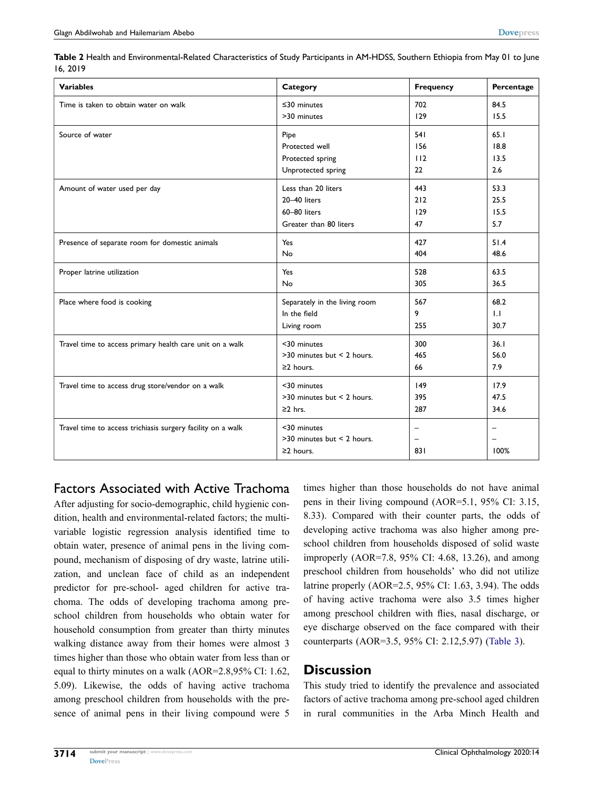<span id="page-5-0"></span>

| Table 2 Health and Environmental-Related Characteristics of Study Participants in AM-HDSS, Southern Ethiopia from May 01 to June |  |
|----------------------------------------------------------------------------------------------------------------------------------|--|
| 16.2019                                                                                                                          |  |

| <b>Variables</b>                                            | Category                                                     | <b>Frequency</b> | Percentage |
|-------------------------------------------------------------|--------------------------------------------------------------|------------------|------------|
| Time is taken to obtain water on walk                       | $\leq$ 30 minutes                                            | 702              | 84.5       |
|                                                             | >30 minutes                                                  | 129              | 15.5       |
| Source of water                                             | Pipe                                                         | 541              | 65.1       |
|                                                             | Protected well                                               | 156              | 18.8       |
|                                                             | Protected spring                                             | 112              | 13.5       |
|                                                             | Unprotected spring                                           | 22               | 2.6        |
| Amount of water used per day                                | Less than 20 liters                                          | 443              | 53.3       |
|                                                             | 20-40 liters                                                 | 212              | 25.5       |
|                                                             | 60-80 liters                                                 | 129              | 15.5       |
|                                                             | Greater than 80 liters                                       | 47               | 5.7        |
| Presence of separate room for domestic animals              | Yes                                                          | 427              | 51.4       |
|                                                             | No                                                           | 404              | 48.6       |
| Proper latrine utilization                                  | Yes                                                          | 528              | 63.5       |
|                                                             | No                                                           | 305              | 36.5       |
| Place where food is cooking                                 | Separately in the living room                                | 567              | 68.2       |
|                                                             | In the field                                                 | 9                | 1.1        |
|                                                             | Living room                                                  | 255              | 30.7       |
| Travel time to access primary health care unit on a walk    | <30 minutes                                                  | 300              | 36.1       |
|                                                             | >30 minutes but < 2 hours.                                   | 465              | 56.0       |
|                                                             | $\geq$ 2 hours.                                              | 66               | 7.9        |
| Travel time to access drug store/vendor on a walk           | <30 minutes                                                  | 149              | 17.9       |
|                                                             | >30 minutes but < 2 hours.                                   | 395              | 47.5       |
|                                                             | $\geq$ 2 hrs.                                                | 287              | 34.6       |
| Travel time to access trichiasis surgery facility on a walk | <30 minutes<br>>30 minutes but < 2 hours.<br>$\geq$ 2 hours. | $\equiv$<br>831  | 100%       |

Factors Associated with Active Trachoma

After adjusting for socio-demographic, child hygienic condition, health and environmental-related factors; the multivariable logistic regression analysis identified time to obtain water, presence of animal pens in the living compound, mechanism of disposing of dry waste, latrine utilization, and unclean face of child as an independent predictor for pre-school- aged children for active trachoma. The odds of developing trachoma among preschool children from households who obtain water for household consumption from greater than thirty minutes walking distance away from their homes were almost 3 times higher than those who obtain water from less than or equal to thirty minutes on a walk (AOR=2.8,95% CI: 1.62, 5.09). Likewise, the odds of having active trachoma among preschool children from households with the presence of animal pens in their living compound were 5 times higher than those households do not have animal pens in their living compound (AOR=5.1, 95% CI: 3.15, 8.33). Compared with their counter parts, the odds of developing active trachoma was also higher among preschool children from households disposed of solid waste improperly (AOR=7.8, 95% CI: 4.68, 13.26), and among preschool children from households' who did not utilize latrine properly (AOR=2.5, 95% CI: 1.63, 3.94). The odds of having active trachoma were also 3.5 times higher among preschool children with flies, nasal discharge, or eye discharge observed on the face compared with their counterparts (AOR=3.5, 95% CI: 2.12,5.97) ([Table 3](#page-7-0)).

#### **Discussion**

This study tried to identify the prevalence and associated factors of active trachoma among pre-school aged children in rural communities in the Arba Minch Health and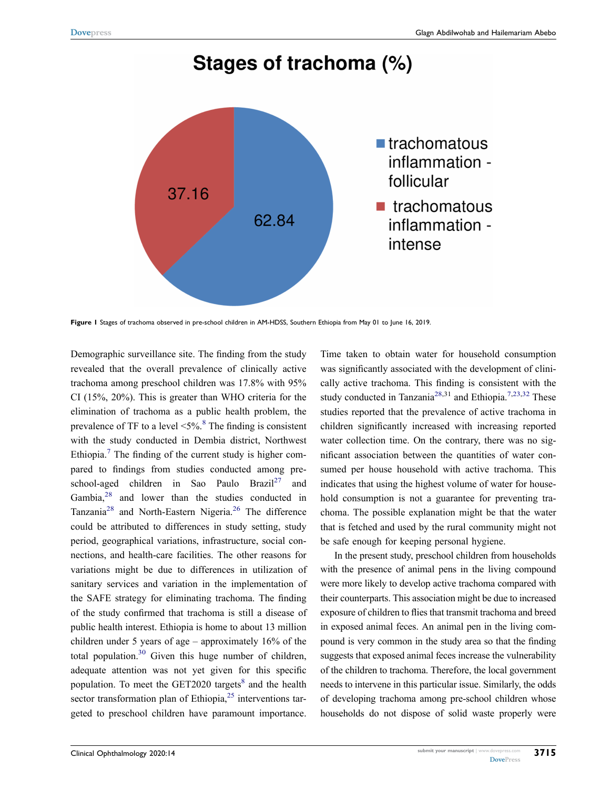## Stages of trachoma (%)

<span id="page-6-0"></span>

**Figure 1** Stages of trachoma observed in pre-school children in AM-HDSS, Southern Ethiopia from May 01 to June 16, 2019.

<span id="page-6-3"></span><span id="page-6-2"></span>Demographic surveillance site. The finding from the study revealed that the overall prevalence of clinically active trachoma among preschool children was 17.8% with 95% CI (15%, 20%). This is greater than WHO criteria for the elimination of trachoma as a public health problem, the prevalence of TF to a level  $\leq 5\%$ .<sup>8</sup> The finding is consistent with the study conducted in Dembia district, Northwest Ethiopia.<sup>[7](#page-8-6)</sup> The finding of the current study is higher compared to findings from studies conducted among preschool-aged children in Sao Paulo Brazil<sup>27</sup> and Gambia,<sup>28</sup> and lower than the studies conducted in Tanzania<sup>28</sup> and North-Eastern Nigeria.<sup>[26](#page-9-7)</sup> The difference could be attributed to differences in study setting, study period, geographical variations, infrastructure, social connections, and health-care facilities. The other reasons for variations might be due to differences in utilization of sanitary services and variation in the implementation of the SAFE strategy for eliminating trachoma. The finding of the study confirmed that trachoma is still a disease of public health interest. Ethiopia is home to about 13 million children under 5 years of age – approximately 16% of the total population. $30$  Given this huge number of children, adequate attention was not yet given for this specific population. To meet the  $GET2020$  targets<sup>8</sup> and the health sector transformation plan of Ethiopia, $2<sup>5</sup>$  interventions targeted to preschool children have paramount importance.

<span id="page-6-1"></span>Time taken to obtain water for household consumption was significantly associated with the development of clinically active trachoma. This finding is consistent with the study conducted in Tanzania<sup>[28,](#page-9-6)31</sup> and Ethiopia.<sup>7[,23](#page-9-9),32</sup> These studies reported that the prevalence of active trachoma in children significantly increased with increasing reported water collection time. On the contrary, there was no significant association between the quantities of water consumed per house household with active trachoma. This indicates that using the highest volume of water for household consumption is not a guarantee for preventing trachoma. The possible explanation might be that the water that is fetched and used by the rural community might not be safe enough for keeping personal hygiene.

<span id="page-6-4"></span>In the present study, preschool children from households with the presence of animal pens in the living compound were more likely to develop active trachoma compared with their counterparts. This association might be due to increased exposure of children to flies that transmit trachoma and breed in exposed animal feces. An animal pen in the living compound is very common in the study area so that the finding suggests that exposed animal feces increase the vulnerability of the children to trachoma. Therefore, the local government needs to intervene in this particular issue. Similarly, the odds of developing trachoma among pre-school children whose households do not dispose of solid waste properly were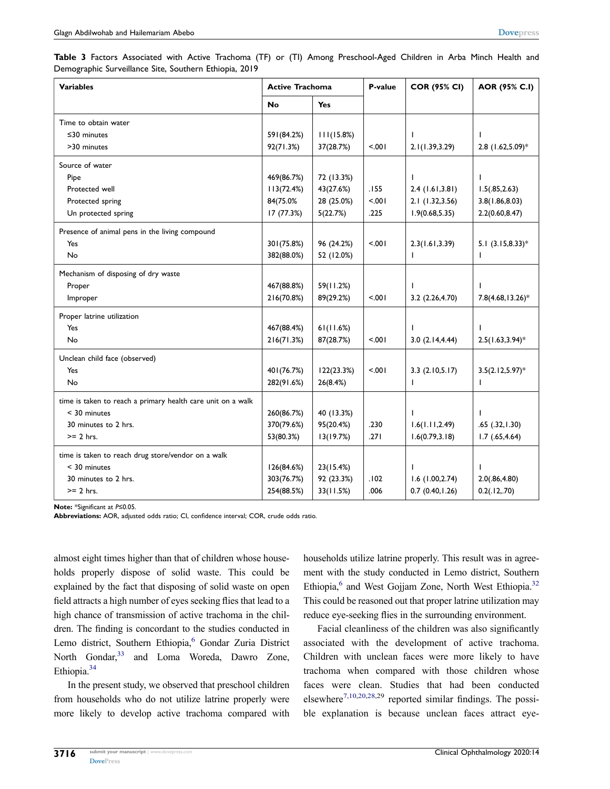<span id="page-7-0"></span>

| Table 3 Factors Associated with Active Trachoma (TF) or (TI) Among Preschool-Aged Children in Arba Minch Health and |  |  |  |  |  |  |  |
|---------------------------------------------------------------------------------------------------------------------|--|--|--|--|--|--|--|
| Demographic Surveillance Site, Southern Ethiopia, 2019                                                              |  |  |  |  |  |  |  |

| <b>Variables</b>                                            | <b>Active Trachoma</b> |            | P-value | <b>COR (95% CI)</b> | AOR (95% C.I)       |  |
|-------------------------------------------------------------|------------------------|------------|---------|---------------------|---------------------|--|
|                                                             | No<br>Yes              |            |         |                     |                     |  |
| Time to obtain water                                        |                        |            |         |                     |                     |  |
| $\leq$ 30 minutes                                           | 591(84.2%)             | 111(15.8%) |         | J.                  | J.                  |  |
| >30 minutes                                                 | 92(71.3%)              | 37(28.7%)  | 5.001   | 2.1(1.39, 3.29)     | 2.8 (1.62,5.09)*    |  |
| Source of water                                             |                        |            |         |                     |                     |  |
| Pipe                                                        | 469(86.7%)             | 72 (13.3%) |         | ı                   |                     |  |
| Protected well                                              | 113(72.4%)             | 43(27.6%)  | .155    | 2.4(1.61, 3.81)     | 1.5(.85, 2.63)      |  |
| Protected spring                                            | 84(75.0%               | 28 (25.0%) | < 0.01  | 2.1 (1.32,3.56)     | 3.8(1.86, 8.03)     |  |
| Un protected spring                                         | 17 (77.3%)             | 5(22.7%)   | .225    | 1.9(0.68, 5.35)     | 2.2(0.60, 8.47)     |  |
| Presence of animal pens in the living compound              |                        |            |         |                     |                     |  |
| Yes                                                         | 301(75.8%)             | 96 (24.2%) | < 0.01  | 2.3(1.61, 3.39)     | 5.1 $(3.15, 8.33)*$ |  |
| No                                                          | 382(88.0%)             | 52 (12.0%) |         | T                   | ı                   |  |
| Mechanism of disposing of dry waste                         |                        |            |         |                     |                     |  |
| Proper                                                      | 467(88.8%)             | 59(11.2%)  |         |                     |                     |  |
| Improper                                                    | 216(70.8%)             | 89(29.2%)  | 5.001   | 3.2(2.26, 4.70)     | 7.8(4.68, 13.26)*   |  |
| Proper latrine utilization                                  |                        |            |         |                     |                     |  |
| Yes                                                         | 467(88.4%)             | 61(11.6%)  |         | J.                  |                     |  |
| No                                                          | 216(71.3%)             | 87(28.7%)  | $500 -$ | 3.0(2.14, 4.44)     | $2.5(1.63, 3.94)^*$ |  |
| Unclean child face (observed)                               |                        |            |         |                     |                     |  |
| Yes                                                         | 401 (76.7%)            | 122(23.3%) | < 0.01  | 3.3(2.10,5.17)      | $3.5(2.12,5.97)^*$  |  |
| No                                                          | 282(91.6%)             | 26(8.4%)   |         | T                   | ı                   |  |
| time is taken to reach a primary health care unit on a walk |                        |            |         |                     |                     |  |
| $<$ 30 minutes                                              | 260(86.7%)             | 40 (13.3%) |         |                     |                     |  |
| 30 minutes to 2 hrs.                                        | 370(79.6%)             | 95(20.4%)  | .230    | 1.6(1.11, 2.49)     | .65(.32, 1.30)      |  |
| $>= 2$ hrs.                                                 | 53(80.3%)              | 13(19.7%)  | .271    | 1.6(0.79, 3.18)     | $1.7$ $(.65, 4.64)$ |  |
| time is taken to reach drug store/vendor on a walk          |                        |            |         |                     |                     |  |
| $<$ 30 minutes                                              | 126(84.6%)             | 23(15.4%)  |         |                     |                     |  |
| 30 minutes to 2 hrs.                                        | 303(76.7%)             | 92 (23.3%) | .102    | 1.6(1.00, 2.74)     | 2.0(.86, 4.80)      |  |
| $>= 2$ hrs.                                                 | 254(88.5%)             | 33(11.5%)  | .006    | 0.7(0.40, 1.26)     | 0.2(.12,.70)        |  |

**Note:** \*Significant at *P*≤0.05.

**Abbreviations:** AOR, adjusted odds ratio; CI, confidence interval; COR, crude odds ratio.

almost eight times higher than that of children whose households properly dispose of solid waste. This could be explained by the fact that disposing of solid waste on open field attracts a high number of eyes seeking flies that lead to a high chance of transmission of active trachoma in the children. The finding is concordant to the studies conducted in Lemo district, Southern Ethiopia,<sup>6</sup> Gondar Zuria District North Gondar,<sup>33</sup> and Loma Woreda, Dawro Zone, Ethiopia[.34](#page-9-12)

<span id="page-7-3"></span><span id="page-7-2"></span>In the present study, we observed that preschool children from households who do not utilize latrine properly were more likely to develop active trachoma compared with households utilize latrine properly. This result was in agreement with the study conducted in Lemo district, Southern Ethiopia, $6$  and West Gojjam Zone, North West Ethiopia.<sup>32</sup> This could be reasoned out that proper latrine utilization may reduce eye-seeking flies in the surrounding environment.

<span id="page-7-1"></span>Facial cleanliness of the children was also significantly associated with the development of active trachoma. Children with unclean faces were more likely to have trachoma when compared with those children whose faces were clean. Studies that had been conducted elsewhere<sup>[7](#page-8-6)[,10,](#page-8-9)[20](#page-9-13)[,28,](#page-9-6)29</sup> reported similar findings. The possible explanation is because unclean faces attract eye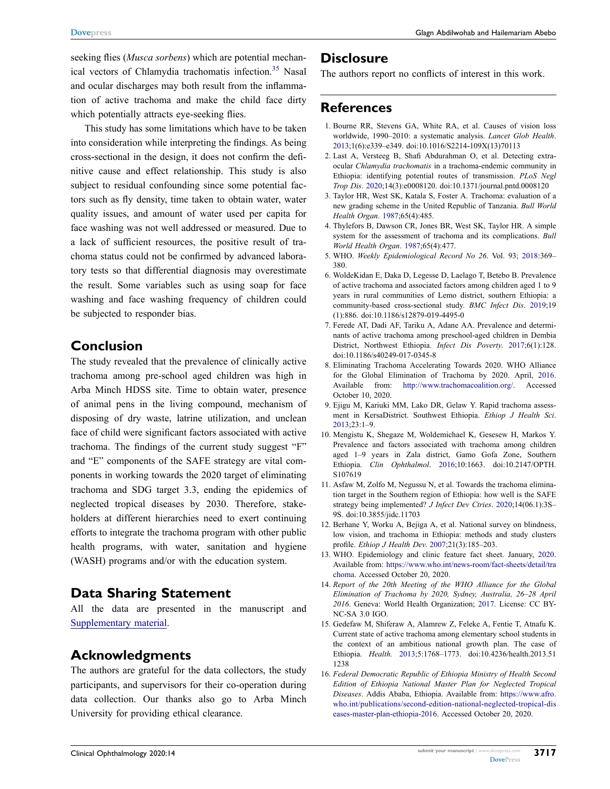**[Dovepress](http://www.dovepress.com)** Glagn Abdilwohab and Hailemariam Abebo

<span id="page-8-16"></span>seeking flies (*Musca sorbens*) which are potential mechanical vectors of Chlamydia trachomatis infection.<sup>35</sup> Nasal and ocular discharges may both result from the inflammation of active trachoma and make the child face dirty which potentially attracts eye-seeking flies.

This study has some limitations which have to be taken into consideration while interpreting the findings. As being cross-sectional in the design, it does not confirm the definitive cause and effect relationship. This study is also subject to residual confounding since some potential factors such as fly density, time taken to obtain water, water quality issues, and amount of water used per capita for face washing was not well addressed or measured. Due to a lack of sufficient resources, the positive result of trachoma status could not be confirmed by advanced laboratory tests so that differential diagnosis may overestimate the result. Some variables such as using soap for face washing and face washing frequency of children could be subjected to responder bias.

#### **Conclusion**

The study revealed that the prevalence of clinically active trachoma among pre-school aged children was high in Arba Minch HDSS site. Time to obtain water, presence of animal pens in the living compound, mechanism of disposing of dry waste, latrine utilization, and unclean face of child were significant factors associated with active trachoma. The findings of the current study suggest "F" and "E" components of the SAFE strategy are vital components in working towards the 2020 target of eliminating trachoma and SDG target 3.3, ending the epidemics of neglected tropical diseases by 2030. Therefore, stakeholders at different hierarchies need to exert continuing efforts to integrate the trachoma program with other public health programs, with water, sanitation and hygiene (WASH) programs and/or with the education system.

#### **Data Sharing Statement**

All the data are presented in the manuscript and [Supplementary material.](https://www.dovepress.com/get_supplementary_file.php?f=282567.docx)

#### **Acknowledgments**

The authors are grateful for the data collectors, the study participants, and supervisors for their co-operation during data collection. Our thanks also go to Arba Minch University for providing ethical clearance.

#### **Disclosure**

The authors report no conflicts of interest in this work.

#### **References**

- <span id="page-8-0"></span>1. Bourne RR, Stevens GA, White RA, et al. Causes of vision loss worldwide, 1990–2010: a systematic analysis. *Lancet Glob Health*. [2013](#page-0-0);1(6):e339–e349. doi:[10.1016/S2214-109X\(13\)70113](https://doi.org/10.1016/S2214-109X(13)70113)
- <span id="page-8-1"></span>2. Last A, Versteeg B, Shafi Abdurahman O, et al. Detecting extraocular *Chlamydia trachomatis* in a trachoma-endemic community in Ethiopia: identifying potential routes of transmission. *PLoS Negl Trop Dis*. [2020;](#page-1-0)14(3):e0008120. doi:[10.1371/journal.pntd.0008120](https://doi.org/10.1371/journal.pntd.0008120)
- <span id="page-8-2"></span>3. Taylor HR, West SK, Katala S, Foster A. Trachoma: evaluation of a new grading scheme in the United Republic of Tanzania. *Bull World Health Organ*. [1987](#page-1-1);65(4):485.
- <span id="page-8-3"></span>4. Thylefors B, Dawson CR, Jones BR, West SK, Taylor HR. A simple system for the assessment of trachoma and its complications. *Bull World Health Organ*. [1987](#page-1-1);65(4):477.
- <span id="page-8-4"></span>5. WHO. *Weekly Epidemiological Record No 26*. Vol. 93; [2018](#page-1-2):369– 380.
- <span id="page-8-5"></span>6. WoldeKidan E, Daka D, Legesse D, Laelago T, Betebo B. Prevalence of active trachoma and associated factors among children aged 1 to 9 years in rural communities of Lemo district, southern Ethiopia: a community-based cross-sectional study. *BMC Infect Dis*. [2019](#page-1-3);19 (1):886. doi:[10.1186/s12879-019-4495-0](https://doi.org/10.1186/s12879-019-4495-0)
- <span id="page-8-6"></span>7. Ferede AT, Dadi AF, Tariku A, Adane AA. Prevalence and determinants of active trachoma among preschool-aged children in Dembia District, Northwest Ethiopia. *Infect Dis Poverty*. [2017;](#page-1-4)6(1):128. doi:[10.1186/s40249-017-0345-8](https://doi.org/10.1186/s40249-017-0345-8)
- <span id="page-8-7"></span>8. Eliminating Trachoma Accelerating Towards 2020. WHO Alliance for the Global Elimination of Trachoma by 2020. April, [2016](#page-1-5). Available from: <http://www.trachomacoalition.org/>. Accessed October 10, 2020.
- <span id="page-8-8"></span>9. Ejigu M, Kariuki MM, Lako DR, Gelaw Y. Rapid trachoma assessment in KersaDistrict. Southwest Ethiopia. *Ethiop J Health Sci*. [2013](#page-1-6);23:1–9.
- <span id="page-8-9"></span>10. Mengistu K, Shegaze M, Woldemichael K, Gesesew H, Markos Y. Prevalence and factors associated with trachoma among children aged 1–9 years in Zala district, Gamo Gofa Zone, Southern Ethiopia. *Clin Ophthalmol*. [2016;](#page-1-3)10:1663. doi:[10.2147/OPTH.](https://doi.org/10.2147/OPTH.S107619) [S107619](https://doi.org/10.2147/OPTH.S107619)
- <span id="page-8-10"></span>11. Asfaw M, Zolfo M, Negussu N, et al. Towards the trachoma elimination target in the Southern region of Ethiopia: how well is the SAFE strategy being implemented? *J Infect Dev Ctries*. [2020](#page-1-3);14(06.1):3S– 9S. doi:[10.3855/jidc.11703](https://doi.org/10.3855/jidc.11703)
- <span id="page-8-11"></span>12. Berhane Y, Worku A, Bejiga A, et al. National survey on blindness, low vision, and trachoma in Ethiopia: methods and study clusters profile. *Ethiop J Health Dev*. [2007;](#page-1-7)21(3):185–203.
- <span id="page-8-12"></span>13. WHO. Epidemiology and clinic feature fact sheet. January, [2020](#page-1-8). Available from: [https://www.who.int/news-room/fact-sheets/detail/tra](https://www.who.int/news-room/fact-sheets/detail/trachoma) [choma.](https://www.who.int/news-room/fact-sheets/detail/trachoma) Accessed October 20, 2020.
- <span id="page-8-13"></span>14. *Report of the 20th Meeting of the WHO Alliance for the Global Elimination of Trachoma by 2020, Sydney, Australia, 26–28 April 2016*. Geneva: World Health Organization; [2017](#page-1-9). License: CC BY-NC-SA 3.0 IGO.
- <span id="page-8-14"></span>15. Gedefaw M, Shiferaw A, Alamrew Z, Feleke A, Fentie T, Atnafu K. Current state of active trachoma among elementary school students in the context of an ambitious national growth plan. The case of Ethiopia. *Health.* [2013;](#page-1-10)5:1768–1773. doi:[10.4236/health.2013.51](https://doi.org/10.4236/health.2013.511238) [1238](https://doi.org/10.4236/health.2013.511238)
- <span id="page-8-15"></span>16. *Federal Democratic Republic of Ethiopia Ministry of Health Second Edition of Ethiopia National Master Plan for Neglected Tropical Diseases*. Addis Ababa, Ethiopia. Available from: [https://www.afro.](https://www.afro.who.int/publications/second-edition-national-neglected-tropical-diseases-master-plan-ethiopia-2016) [who.int/publications/second-edition-national-neglected-tropical-dis](https://www.afro.who.int/publications/second-edition-national-neglected-tropical-diseases-master-plan-ethiopia-2016)  [eases-master-plan-ethiopia-2016.](https://www.afro.who.int/publications/second-edition-national-neglected-tropical-diseases-master-plan-ethiopia-2016) Accessed October 20, 2020.